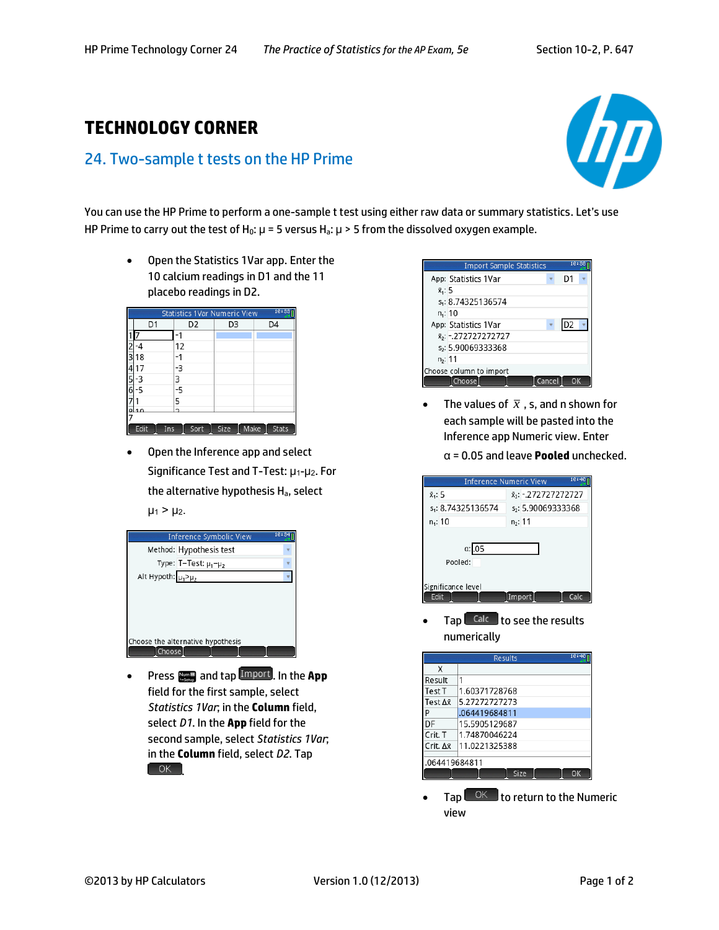## **TECHNOLOGY CORNER**

## 24. Two-sample t tests on the HP Prime



You can use the HP Prime to perform a one-sample t test using either raw data or summary statistics. Let's use HP Prime to carry out the test of H<sub>0</sub>:  $\mu$  = 5 versus H<sub>a</sub>:  $\mu$  > 5 from the dissolved oxygen example.

 Open the Statistics 1Var app. Enter the 10 calcium readings in D1 and the 11 placebo readings in D2.

|         | 10:33<br><b>Statistics 1Var Numeric View</b> |                |      |      |              |  |
|---------|----------------------------------------------|----------------|------|------|--------------|--|
|         | D1                                           | D <sub>2</sub> | D3   |      | D4           |  |
|         |                                              |                |      |      |              |  |
|         |                                              | 12             |      |      |              |  |
|         | 18                                           |                |      |      |              |  |
|         | 7                                            | -3             |      |      |              |  |
|         | -2                                           | 3              |      |      |              |  |
|         | -5                                           | -5             |      |      |              |  |
|         |                                              | 5              |      |      |              |  |
| $\circ$ | 10                                           | h              |      |      |              |  |
|         |                                              |                |      |      |              |  |
|         | Edit<br>Ins                                  | Sort           | Size | Make | <b>Stats</b> |  |

 Open the Inference app and select Significance Test and T-Test: μ1-μ2. For the alternative hypothesis Ha, select  $\mu_1 > \mu_2$ .



**•** Press **Numm** and tap **Import**, In the App field for the first sample, select *Statistics 1Var*; in the **Column** field, select *D1*. In the **App** field for the second sample, select *Statistics 1Var*; in the **Column** field, select *D2*. Tap  $\begin{bmatrix} \n\mathsf{OK} \n\end{bmatrix}$ 



- The values of  $\bar{x}$  , s, and n shown for each sample will be pasted into the Inference app Numeric view. Enter
	- α = 0.05 and leave **Pooled** unchecked.



Tap Calc to see the results numerically

| 10:40<br><b>Results</b> |               |  |  |  |  |
|-------------------------|---------------|--|--|--|--|
| X                       |               |  |  |  |  |
| Result                  |               |  |  |  |  |
| Test T                  | 1.60371728768 |  |  |  |  |
| Test ∆xิ                | 5.27272727273 |  |  |  |  |
| p                       | .064419684811 |  |  |  |  |
| DF                      | 15.5905129687 |  |  |  |  |
| Crit. T                 | 1.74870046224 |  |  |  |  |
| Crit. Δx                | 11.0221325388 |  |  |  |  |
|                         |               |  |  |  |  |
| 064419684811            |               |  |  |  |  |
|                         | Size<br>ΩK    |  |  |  |  |

Tap  $\sqrt{\frac{OK}{K}}$  to return to the Numeric view